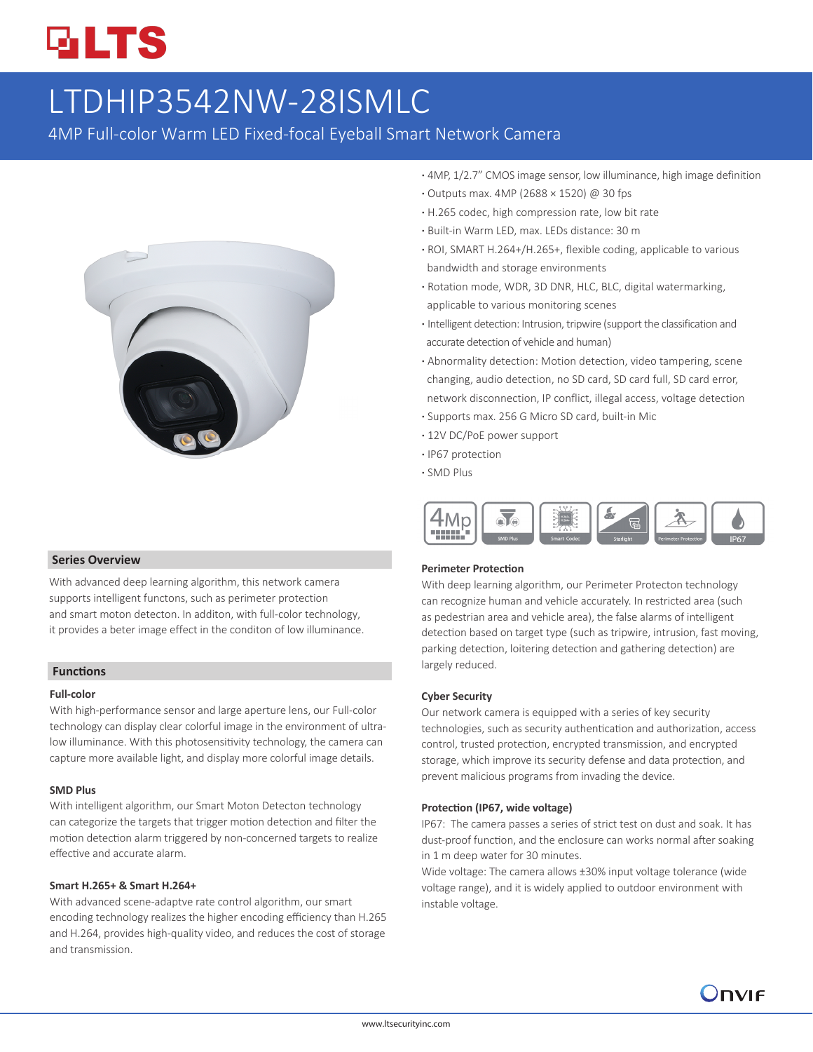# **GLTS**

# LTDHIP3542NW-28ISMLC

4MP Full-color Warm LED Fixed-focal Eyeball Smart Network Camera



#### **Series Overview**

With advanced deep learning algorithm, this network camera supports intelligent functons, such as perimeter protection and smart moton detecton. In additon, with full-color technology, it provides a beter image effect in the conditon of low illuminance.

#### **Functions**

#### **Full-color**

With high-performance sensor and large aperture lens, our Full-color technology can display clear colorful image in the environment of ultralow illuminance. With this photosensitivity technology, the camera can capture more available light, and display more colorful image details.

#### **SMD Plus**

With intelligent algorithm, our Smart Moton Detecton technology can categorize the targets that trigger motion detection and filter the motion detection alarm triggered by non-concerned targets to realize effective and accurate alarm.

#### **Smart H.265+ & Smart H.264+**

With advanced scene-adaptve rate control algorithm, our smart encoding technology realizes the higher encoding efficiency than H.265 and H.264, provides high-quality video, and reduces the cost of storage and transmission.

- **·** 4MP, 1/2.7" CMOS image sensor, low illuminance, high image definition
- **·** Outputs max. 4MP (2688 × 1520) @ 30 fps
- **·** H.265 codec, high compression rate, low bit rate
- **·** Built-in Warm LED, max. LEDs distance: 30 m
- **·** ROI, SMART H.264+/H.265+, flexible coding, applicable to various bandwidth and storage environments
- **·** Rotation mode, WDR, 3D DNR, HLC, BLC, digital watermarking, applicable to various monitoring scenes
- **·** Intelligent detection: Intrusion, tripwire (support the classification and accurate detection of vehicle and human)
- **·** Abnormality detection: Motion detection, video tampering, scene changing, audio detection, no SD card, SD card full, SD card error, network disconnection, IP conflict, illegal access, voltage detection
- **·** Supports max. 256 G Micro SD card, built-in Mic
- **·** 12V DC/PoE power support
- **·** IP67 protection
- **·** SMD Plus



#### **Perimeter Protection**

With deep learning algorithm, our Perimeter Protecton technology can recognize human and vehicle accurately. In restricted area (such as pedestrian area and vehicle area), the false alarms of intelligent detection based on target type (such as tripwire, intrusion, fast moving, parking detection, loitering detection and gathering detection) are largely reduced.

#### **Cyber Security**

Our network camera is equipped with a series of key security technologies, such as security authentication and authorization, access control, trusted protection, encrypted transmission, and encrypted storage, which improve its security defense and data protection, and prevent malicious programs from invading the device.

#### **Protection (IP67, wide voltage)**

IP67: The camera passes a series of strict test on dust and soak. It has dust-proof function, and the enclosure can works normal after soaking in 1 m deep water for 30 minutes.

Wide voltage: The camera allows ±30% input voltage tolerance (wide voltage range), and it is widely applied to outdoor environment with instable voltage.

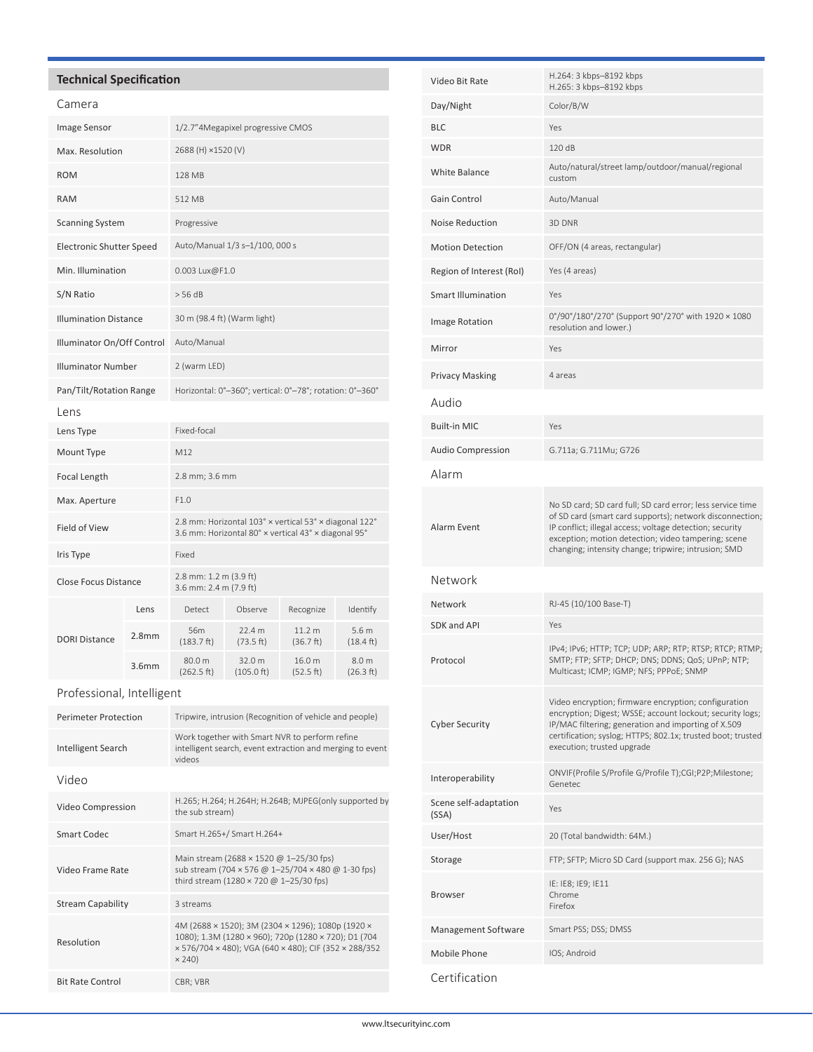## **Technical Specification**

| Camera                          |                   |                                                                                                                |                      |                                |                                         |
|---------------------------------|-------------------|----------------------------------------------------------------------------------------------------------------|----------------------|--------------------------------|-----------------------------------------|
| Image Sensor                    |                   | 1/2.7"4Megapixel progressive CMOS                                                                              |                      |                                |                                         |
| Max. Resolution                 |                   | 2688 (H) ×1520 (V)                                                                                             |                      |                                |                                         |
| <b>ROM</b>                      |                   | <b>128 MB</b>                                                                                                  |                      |                                |                                         |
| <b>RAM</b>                      |                   | 512 MB                                                                                                         |                      |                                |                                         |
| <b>Scanning System</b>          |                   | Progressive                                                                                                    |                      |                                |                                         |
| <b>Electronic Shutter Speed</b> |                   | Auto/Manual 1/3 s-1/100, 000 s                                                                                 |                      |                                |                                         |
| Min. Illumination               |                   | 0.003 Lux@F1.0                                                                                                 |                      |                                |                                         |
| S/N Ratio                       |                   | > 56 dB                                                                                                        |                      |                                |                                         |
| <b>Illumination Distance</b>    |                   | 30 m (98.4 ft) (Warm light)                                                                                    |                      |                                |                                         |
| Illuminator On/Off Control      |                   | Auto/Manual                                                                                                    |                      |                                |                                         |
| <b>Illuminator Number</b>       |                   | 2 (warm LED)                                                                                                   |                      |                                |                                         |
| Pan/Tilt/Rotation Range         |                   | Horizontal: 0°-360°; vertical: 0°-78°; rotation: 0°-360°                                                       |                      |                                |                                         |
| Lens                            |                   |                                                                                                                |                      |                                |                                         |
| Lens Type                       |                   | Fixed-focal                                                                                                    |                      |                                |                                         |
| Mount Type                      |                   | M12                                                                                                            |                      |                                |                                         |
| Focal Length                    |                   | 2.8 mm; 3.6 mm                                                                                                 |                      |                                |                                         |
| Max. Aperture                   |                   | F1.0                                                                                                           |                      |                                |                                         |
| Field of View                   |                   | 2.8 mm: Horizontal 103° x vertical 53° x diagonal 122°<br>3.6 mm: Horizontal 80° x vertical 43° x diagonal 95° |                      |                                |                                         |
| Iris Type                       |                   | Fixed                                                                                                          |                      |                                |                                         |
| <b>Close Focus Distance</b>     |                   | 2.8 mm: 1.2 m (3.9 ft)<br>3.6 mm: 2.4 m (7.9 ft)                                                               |                      |                                |                                         |
| <b>DORI Distance</b>            | Lens              | Detect                                                                                                         | Observe              | Recognize                      | Identify                                |
|                                 | 2.8 <sub>mm</sub> | 56m<br>(183.7 ft)                                                                                              | 22.4 m<br>(73.5 ft)  | 11.2 <sub>m</sub><br>(36.7 ft) | 5.6 <sub>m</sub><br>$(18.4 \text{ ft})$ |
|                                 | 3.6 <sub>mm</sub> | 80.0 m<br>(262.5 ft)                                                                                           | 32.0 m<br>(105.0 ft) | 16.0 m<br>(52.5 ft)            | 8.0 m<br>(26.3 ft)                      |

Professional, Intelligent

| <b>Perimeter Protection</b> | Tripwire, intrusion (Recognition of vehicle and people)                                                                                                                             |
|-----------------------------|-------------------------------------------------------------------------------------------------------------------------------------------------------------------------------------|
| Intelligent Search          | Work together with Smart NVR to perform refine<br>intelligent search, event extraction and merging to event<br><i><b>andhiv</b></i>                                                 |
| Video                       |                                                                                                                                                                                     |
| Video Compression           | H.265; H.264; H.264H; H.264B; MJPEG(only supported by<br>the sub stream)                                                                                                            |
| Smart Codec                 | Smart H.265+/ Smart H.264+                                                                                                                                                          |
| Video Frame Rate            | Main stream (2688 × 1520 @ 1-25/30 fps)<br>sub stream (704 x 576 @ 1-25/704 x 480 @ 1-30 fps)<br>third stream (1280 $\times$ 720 @ 1-25/30 fps)                                     |
| <b>Stream Capability</b>    | 3 streams                                                                                                                                                                           |
| Resolution                  | 4M (2688 × 1520); 3M (2304 × 1296); 1080p (1920 ×<br>1080); 1.3M (1280 × 960); 720p (1280 × 720); D1 (704<br>x 576/704 x 480); VGA (640 x 480); CIF (352 x 288/352<br>$\times$ 240) |
| <b>Bit Rate Control</b>     | CBR; VBR                                                                                                                                                                            |

| Video Bit Rate                 | H.264: 3 kbps-8192 kbps<br>H.265: 3 kbps-8192 kbps                                                                                                                                                                                                                                                |  |
|--------------------------------|---------------------------------------------------------------------------------------------------------------------------------------------------------------------------------------------------------------------------------------------------------------------------------------------------|--|
| Day/Night                      | Color/B/W                                                                                                                                                                                                                                                                                         |  |
| <b>BLC</b>                     | Yes                                                                                                                                                                                                                                                                                               |  |
| <b>WDR</b>                     | 120 dB                                                                                                                                                                                                                                                                                            |  |
| White Balance                  | Auto/natural/street lamp/outdoor/manual/regional<br>custom                                                                                                                                                                                                                                        |  |
| Gain Control                   | Auto/Manual                                                                                                                                                                                                                                                                                       |  |
| Noise Reduction                | 3D DNR                                                                                                                                                                                                                                                                                            |  |
| <b>Motion Detection</b>        | OFF/ON (4 areas, rectangular)                                                                                                                                                                                                                                                                     |  |
| Region of Interest (RoI)       | Yes (4 areas)                                                                                                                                                                                                                                                                                     |  |
| <b>Smart Illumination</b>      | Yes                                                                                                                                                                                                                                                                                               |  |
| Image Rotation                 | 0°/90°/180°/270° (Support 90°/270° with 1920 × 1080<br>resolution and lower.)                                                                                                                                                                                                                     |  |
| Mirror                         | Yes                                                                                                                                                                                                                                                                                               |  |
| <b>Privacy Masking</b>         | 4 areas                                                                                                                                                                                                                                                                                           |  |
| Audio                          |                                                                                                                                                                                                                                                                                                   |  |
| <b>Built-in MIC</b>            | Yes                                                                                                                                                                                                                                                                                               |  |
| <b>Audio Compression</b>       | G.711a; G.711Mu; G726                                                                                                                                                                                                                                                                             |  |
| Alarm                          |                                                                                                                                                                                                                                                                                                   |  |
| Alarm Event                    | No SD card; SD card full; SD card error; less service time<br>of SD card (smart card supports); network disconnection;<br>IP conflict; illegal access; voltage detection; security<br>exception; motion detection; video tampering; scene<br>changing; intensity change; tripwire; intrusion; SMD |  |
| Network                        |                                                                                                                                                                                                                                                                                                   |  |
| Network                        | RJ-45 (10/100 Base-T)                                                                                                                                                                                                                                                                             |  |
| SDK and API                    | Yes                                                                                                                                                                                                                                                                                               |  |
| Protocol                       | IPv4; IPv6; HTTP; TCP; UDP; ARP; RTP; RTSP; RTCP; RTMP;<br>SMTP; FTP; SFTP; DHCP; DNS; DDNS; QoS; UPnP; NTP;<br>Multicast; ICMP; IGMP; NFS; PPPoE; SNMP                                                                                                                                           |  |
| <b>Cyber Security</b>          | Video encryption; firmware encryption; configuration<br>encryption; Digest; WSSE; account lockout; security logs;<br>IP/MAC filtering; generation and importing of X.509<br>certification; syslog; HTTPS; 802.1x; trusted boot; trusted<br>execution; trusted upgrade                             |  |
| Interoperability               | ONVIF(Profile S/Profile G/Profile T);CGI;P2P;Milestone;<br>Genetec                                                                                                                                                                                                                                |  |
| Scene self-adaptation<br>(SSA) | Yes                                                                                                                                                                                                                                                                                               |  |
| User/Host                      | 20 (Total bandwidth: 64M.)                                                                                                                                                                                                                                                                        |  |
| Storage                        | FTP; SFTP; Micro SD Card (support max. 256 G); NAS                                                                                                                                                                                                                                                |  |
| <b>Browser</b>                 | IE: IE8; IE9; IE11<br>Chrome<br>Firefox                                                                                                                                                                                                                                                           |  |
| Management Software            | Smart PSS; DSS; DMSS                                                                                                                                                                                                                                                                              |  |
| Mobile Phone                   | IOS; Android                                                                                                                                                                                                                                                                                      |  |
| Certification                  |                                                                                                                                                                                                                                                                                                   |  |